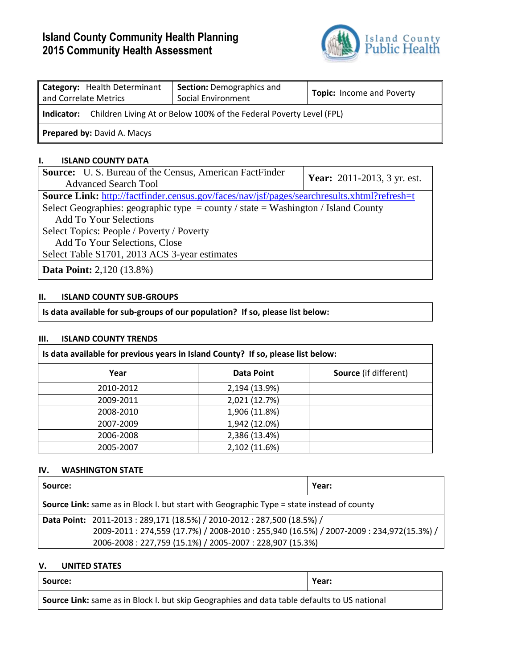# **Island County Community Health Planning 2015 Community Health Assessment**



| Category: Health Determinant<br>and Correlate Metrics                             | <b>Section: Demographics and</b><br>Social Environment | <b>Topic:</b> Income and Poverty |  |  |
|-----------------------------------------------------------------------------------|--------------------------------------------------------|----------------------------------|--|--|
| Children Living At or Below 100% of the Federal Poverty Level (FPL)<br>Indicator: |                                                        |                                  |  |  |
| <b>Prepared by: David A. Macys</b>                                                |                                                        |                                  |  |  |

## **I. ISLAND COUNTY DATA**

| <b>Source:</b> U.S. Bureau of the Census, American FactFinder                               | <b>Year:</b> 2011-2013, 3 yr. est. |  |
|---------------------------------------------------------------------------------------------|------------------------------------|--|
| <b>Advanced Search Tool</b>                                                                 |                                    |  |
| Source Link: http://factfinder.census.gov/faces/nav/jsf/pages/searchresults.xhtml?refresh=t |                                    |  |
| Select Geographies: geographic type = county / state = Washington / Island County           |                                    |  |
| <b>Add To Your Selections</b>                                                               |                                    |  |
| Select Topics: People / Poverty / Poverty                                                   |                                    |  |
| Add To Your Selections, Close                                                               |                                    |  |
| Select Table S1701, 2013 ACS 3-year estimates                                               |                                    |  |
| <b>Data Point:</b> 2,120 (13.8%)                                                            |                                    |  |

# **II. ISLAND COUNTY SUB-GROUPS**

**Is data available for sub-groups of our population? If so, please list below:**

#### **III. ISLAND COUNTY TRENDS**

| Is data available for previous years in Island County? If so, please list below: |               |                              |
|----------------------------------------------------------------------------------|---------------|------------------------------|
| Year                                                                             | Data Point    | <b>Source</b> (if different) |
| 2010-2012                                                                        | 2,194 (13.9%) |                              |
| 2009-2011                                                                        | 2,021 (12.7%) |                              |
| 2008-2010                                                                        | 1,906 (11.8%) |                              |
| 2007-2009                                                                        | 1,942 (12.0%) |                              |
| 2006-2008                                                                        | 2,386 (13.4%) |                              |
| 2005-2007                                                                        | 2,102 (11.6%) |                              |

## **IV. WASHINGTON STATE**

| Source:                                                                                          |                                                                                                                                                                                                                           | Year: |
|--------------------------------------------------------------------------------------------------|---------------------------------------------------------------------------------------------------------------------------------------------------------------------------------------------------------------------------|-------|
| <b>Source Link:</b> same as in Block I. but start with Geographic Type = state instead of county |                                                                                                                                                                                                                           |       |
|                                                                                                  | Data Point: 2011-2013: 289,171 (18.5%) / 2010-2012: 287,500 (18.5%) /<br>2009-2011: 274,559 (17.7%) / 2008-2010: 255,940 (16.5%) / 2007-2009: 234,972(15.3%) /<br>2006-2008: 227,759 (15.1%) / 2005-2007: 228,907 (15.3%) |       |

## **V. UNITED STATES**

| Source:                                                                                      | Year: |
|----------------------------------------------------------------------------------------------|-------|
| Source Link: same as in Block I. but skip Geographies and data table defaults to US national |       |